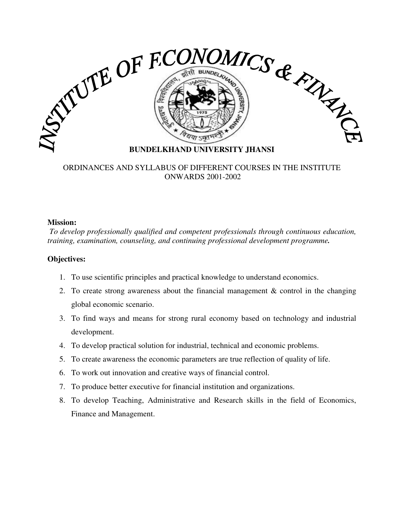

## ORDINANCES AND SYLLABUS OF DIFFERENT COURSES IN THE INSTITUTE ONWARDS 2001-2002

#### **Mission:**

*To develop professionally qualified and competent professionals through continuous education, training, examination, counseling, and continuing professional development programme.* 

# **Objectives:**

- 1. To use scientific principles and practical knowledge to understand economics.
- 2. To create strong awareness about the financial management & control in the changing global economic scenario.
- 3. To find ways and means for strong rural economy based on technology and industrial development.
- 4. To develop practical solution for industrial, technical and economic problems.
- 5. To create awareness the economic parameters are true reflection of quality of life.
- 6. To work out innovation and creative ways of financial control.
- 7. To produce better executive for financial institution and organizations.
- 8. To develop Teaching, Administrative and Research skills in the field of Economics, Finance and Management.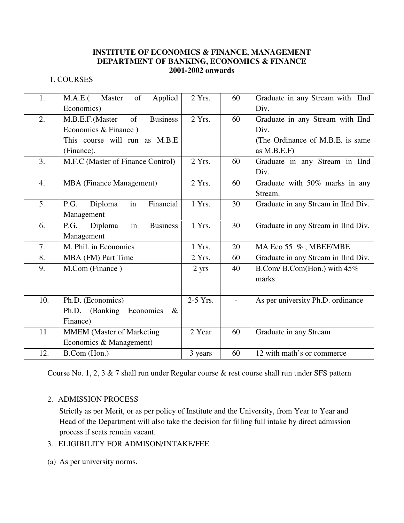#### **INSTITUTE OF ECONOMICS & FINANCE, MANAGEMENT DEPARTMENT OF BANKING, ECONOMICS & FINANCE 2001-2002 onwards**

## 1. COURSES

| 1.  | Applied<br>of<br>M.A.E.(<br>Master       | 2 Yrs.     | 60 | Graduate in any Stream with IInd    |
|-----|------------------------------------------|------------|----|-------------------------------------|
|     | Economics)                               |            |    | Div.                                |
| 2.  | <b>Business</b><br>of<br>M.B.E.F.(Master | $2$ Yrs.   | 60 | Graduate in any Stream with IInd    |
|     | Economics & Finance)                     |            |    | Div.                                |
|     | This course will run as M.B.E            |            |    | (The Ordinance of M.B.E. is same    |
|     | (Finance).                               |            |    | as $M.B.E.F$                        |
| 3.  | M.F.C (Master of Finance Control)        | $2$ Yrs.   | 60 | Graduate in any Stream in IInd      |
|     |                                          |            |    | Div.                                |
| 4.  | <b>MBA</b> (Finance Management)          | 2 Yrs.     | 60 | Graduate with 50% marks in any      |
|     |                                          |            |    | Stream.                             |
| 5.  | in<br>Financial<br>P.G.<br>Diploma       | 1 Yrs.     | 30 | Graduate in any Stream in IInd Div. |
|     | Management                               |            |    |                                     |
| 6.  | <b>Business</b><br>Diploma<br>in<br>P.G. | 1 Yrs.     | 30 | Graduate in any Stream in IInd Div. |
|     | Management                               |            |    |                                     |
| 7.  | M. Phil. in Economics                    | 1 Yrs.     | 20 | MA Eco 55 %, MBEF/MBE               |
| 8.  | MBA (FM) Part Time                       | 2 Yrs.     | 60 | Graduate in any Stream in IInd Div. |
| 9.  | M.Com (Finance)                          | 2 yrs      | 40 | B.Com/B.Com(Hon.) with 45%          |
|     |                                          |            |    | marks                               |
|     |                                          |            |    |                                     |
| 10. | Ph.D. (Economics)                        | $2-5$ Yrs. |    | As per university Ph.D. ordinance   |
|     | Ph.D. (Banking Economics<br>$\propto$    |            |    |                                     |
|     | Finance)                                 |            |    |                                     |
| 11. | <b>MMEM</b> (Master of Marketing         | 2 Year     | 60 | Graduate in any Stream              |
|     | Economics & Management)                  |            |    |                                     |
| 12. | B.Com (Hon.)                             | 3 years    | 60 | 12 with math's or commerce          |

Course No. 1, 2, 3 & 7 shall run under Regular course & rest course shall run under SFS pattern

# 2. ADMISSION PROCESS

Strictly as per Merit, or as per policy of Institute and the University, from Year to Year and Head of the Department will also take the decision for filling full intake by direct admission process if seats remain vacant.

- 3. ELIGIBILITY FOR ADMISON/INTAKE/FEE
- (a) As per university norms.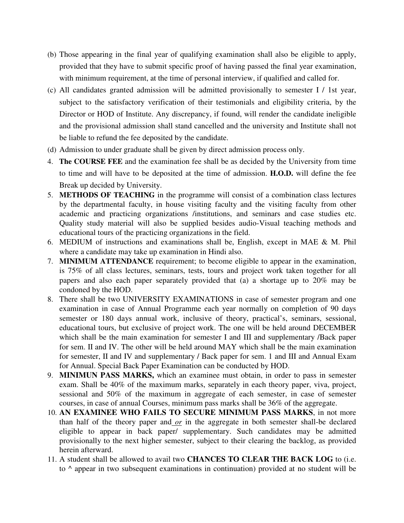- (b) Those appearing in the final year of qualifying examination shall also be eligible to apply, provided that they have to submit specific proof of having passed the final year examination, with minimum requirement, at the time of personal interview, if qualified and called for.
- (c) All candidates granted admission will be admitted provisionally to semester I / 1st year, subject to the satisfactory verification of their testimonials and eligibility criteria, by the Director or HOD of Institute. Any discrepancy, if found, will render the candidate ineligible and the provisional admission shall stand cancelled and the university and Institute shall not be liable to refund the fee deposited by the candidate.
- (d) Admission to under graduate shall be given by direct admission process only.
- 4. **The COURSE FEE** and the examination fee shall be as decided by the University from time to time and will have to be deposited at the time of admission. **H.O.D.** will define the fee Break up decided by University.
- 5. **METHODS OF TEACHING** in the programme will consist of a combination class lectures by the departmental faculty, in house visiting faculty and the visiting faculty from other academic and practicing organizations /institutions, and seminars and case studies etc. Quality study material will also be supplied besides audio-Visual teaching methods and educational tours of the practicing organizations in the field.
- 6. MEDIUM of instructions and examinations shall be, English, except in MAE & M. Phil where a candidate may take up examination in Hindi also.
- 7. **MINIMUM ATTENDANCE** requirement; to become eligible to appear in the examination, is 75% of all class lectures, seminars, tests, tours and project work taken together for all papers and also each paper separately provided that (a) a shortage up to 20% may be condoned by the HOD.
- 8. There shall be two UNIVERSITY EXAMINATIONS in case of semester program and one examination in case of Annual Programme each year normally on completion of 90 days semester or 180 days annual work, inclusive of theory, practical's, seminars, sessional, educational tours, but exclusive of project work. The one will be held around DECEMBER which shall be the main examination for semester I and III and supplementary /Back paper for sem. II and IV. The other will be held around MAY which shall be the main examination for semester, II and IV and supplementary / Back paper for sem. 1 and III and Annual Exam for Annual. Special Back Paper Examination can be conducted by HOD.
- 9. **MINIMUN PASS MARKS,** which an examinee must obtain, in order to pass in semester exam. Shall be 40% of the maximum marks, separately in each theory paper, viva, project, sessional and 50% of the maximum in aggregate of each semester, in case of semester courses, in case of annual Courses, minimum pass marks shall be 36% of the aggregate.
- 10. **AN EXAMINEE WHO FAILS TO SECURE MINIMUM PASS MARKS**, in not more than half of the theory paper and *or* in the aggregate in both semester shall-be declared eligible to appear in back paper/ supplementary. Such candidates may be admitted provisionally to the next higher semester, subject to their clearing the backlog, as provided herein afterward.
- 11. A student shall be allowed to avail two **CHANCES TO CLEAR THE BACK LOG** to (i.e. to ^ appear in two subsequent examinations in continuation) provided at no student will be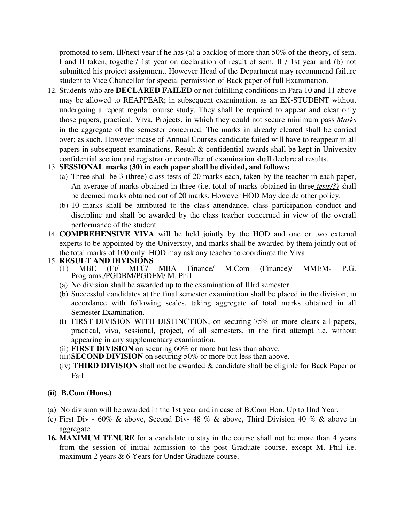promoted to sem. Ill/next year if he has (a) a backlog of more than 50% of the theory, of sem. I and II taken, together/ 1st year on declaration of result of sem. II / 1st year and (b) not submitted his project assignment. However Head of the Department may recommend failure student to Vice Chancellor for special permission of Back paper of full Examination.

12. Students who are **DECLARED FAILED** or not fulfilling conditions in Para 10 and 11 above may be allowed to REAPPEAR; in subsequent examination, as an EX-STUDENT without undergoing a repeat regular course study. They shall be required to appear and clear only those papers, practical, Viva, Projects, in which they could not secure minimum pass *Marks*  in the aggregate of the semester concerned. The marks in already cleared shall be carried over; as such. However incase of Annual Courses candidate failed will have to reappear in all papers in subsequent examinations. Result & confidential awards shall be kept in University confidential section and registrar or controller of examination shall declare al results.

## 13. **SESSIONAL marks (30) in each paper shall be divided, and follows:**

- (a) Three shall be 3 (three) class tests of 20 marks each, taken by the teacher in each paper, An average of marks obtained in three (i.e. total of marks obtained in three *tests/3)* shall be deemed marks obtained out of 20 marks. However HOD May decide other policy.
- (b) 10 marks shall be attributed to the class attendance, class participation conduct and discipline and shall be awarded by the class teacher concerned in view of the overall performance of the student.
- 14. **COMPREHENSIVE VIVA** will be held jointly by the HOD and one or two external experts to be appointed by the University, and marks shall be awarded by them jointly out of the total marks of 100 only. HOD may ask any teacher to coordinate the Viva
- 15. **RESULT AND DIVISIONS** 
	- (1) MBE (F)/ MFC/ MBA Finance/ M.Com (Finance)/ MMEM- P.G. Programs./PGDBM/PGDFM/ M. Phil
	- (a) No division shall be awarded up to the examination of IIIrd semester.
	- (b) Successful candidates at the final semester examination shall be placed in the division, in accordance with following scales, taking aggregate of total marks obtained in all Semester Examination.
	- **(i)** FIRST DIVISION WITH DISTINCTION, on securing 75% or more clears all papers, practical, viva, sessional, project, of all semesters, in the first attempt i.e. without appearing in any supplementary examination.
	- (ii) **FIRST DIVISION** on securing 60% or more but less than above.
	- (iii)**SECOND DIVISION** on securing 50% or more but less than above.
	- (iv) **THIRD DIVISION** shall not be awarded & candidate shall be eligible for Back Paper or Fail

# **(ii) B.Com (Hons.)**

- (a) No division will be awarded in the 1st year and in case of B.Com Hon. Up to IInd Year.
- (c) First Div  $60\%$  & above, Second Div- 48 % & above, Third Division 40 % & above in aggregate.
- **16. MAXIMUM TENURE** for a candidate to stay in the course shall not be more than 4 years from the session of initial admission to the post Graduate course, except M. Phil i.e. maximum 2 years & 6 Years for Under Graduate course.